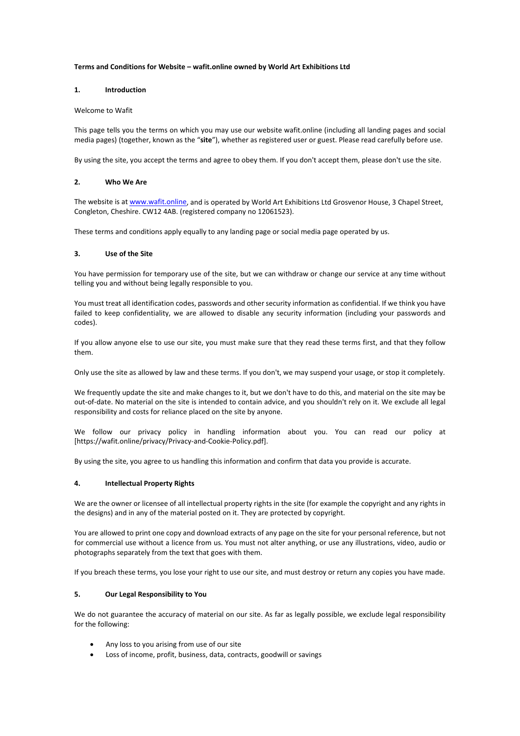## **Terms and Conditions for Website – wafit.online owned by World Art Exhibitions Ltd**

## **1. Introduction**

## Welcome to Wafit

This page tells you the terms on which you may use our website wafit.online (including all landing pages and social media pages) (together, known as the "**site**"), whether as registered user or guest. Please read carefully before use.

By using the site, you accept the terms and agree to obey them. If you don't accept them, please don't use the site.

## **2. Who We Are**

The website is a[t www.wafit.online,](http://www.wafit.online/) and is operated by World Art Exhibitions Ltd Grosvenor House, 3 Chapel Street, Congleton, Cheshire. CW12 4AB. (registered company no 12061523).

These terms and conditions apply equally to any landing page or social media page operated by us.

## **3. Use of the Site**

You have permission for temporary use of the site, but we can withdraw or change our service at any time without telling you and without being legally responsible to you.

You must treat all identification codes, passwords and other security information as confidential. If we think you have failed to keep confidentiality, we are allowed to disable any security information (including your passwords and codes).

If you allow anyone else to use our site, you must make sure that they read these terms first, and that they follow them.

Only use the site as allowed by law and these terms. If you don't, we may suspend your usage, or stop it completely.

We frequently update the site and make changes to it, but we don't have to do this, and material on the site may be out-of-date. No material on the site is intended to contain advice, and you shouldn't rely on it. We exclude all legal responsibility and costs for reliance placed on the site by anyone.

We follow our privacy policy in handling information about you. You can read our policy at [https://wafit.online/privacy/Privacy-and-Cookie-Policy.pdf].

By using the site, you agree to us handling this information and confirm that data you provide is accurate.

# **4. Intellectual Property Rights**

We are the owner or licensee of all intellectual property rights in the site (for example the copyright and any rights in the designs) and in any of the material posted on it. They are protected by copyright.

You are allowed to print one copy and download extracts of any page on the site for your personal reference, but not for commercial use without a licence from us. You must not alter anything, or use any illustrations, video, audio or photographs separately from the text that goes with them.

If you breach these terms, you lose your right to use our site, and must destroy or return any copies you have made.

# **5. Our Legal Responsibility to You**

We do not guarantee the accuracy of material on our site. As far as legally possible, we exclude legal responsibility for the following:

- Any loss to you arising from use of our site
- Loss of income, profit, business, data, contracts, goodwill or savings